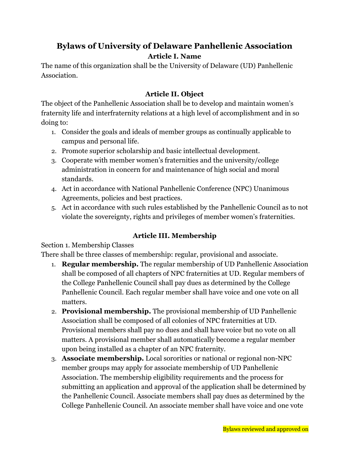# **Bylaws of University of Delaware Panhellenic Association Article I. Name**

The name of this organization shall be the University of Delaware (UD) Panhellenic Association.

### **Article II. Object**

The object of the Panhellenic Association shall be to develop and maintain women's fraternity life and interfraternity relations at a high level of accomplishment and in so doing to:

- 1. Consider the goals and ideals of member groups as continually applicable to campus and personal life.
- 2. Promote superior scholarship and basic intellectual development.
- 3. Cooperate with member women's fraternities and the university/college administration in concern for and maintenance of high social and moral standards.
- 4. Act in accordance with National Panhellenic Conference (NPC) Unanimous Agreements, policies and best practices.
- 5. Act in accordance with such rules established by the Panhellenic Council as to not violate the sovereignty, rights and privileges of member women's fraternities.

### **Article III. Membership**

Section 1. Membership Classes

There shall be three classes of membership: regular, provisional and associate.

- 1. **Regular membership.** The regular membership of UD Panhellenic Association shall be composed of all chapters of NPC fraternities at UD. Regular members of the College Panhellenic Council shall pay dues as determined by the College Panhellenic Council. Each regular member shall have voice and one vote on all matters.
- 2. **Provisional membership.** The provisional membership of UD Panhellenic Association shall be composed of all colonies of NPC fraternities at UD. Provisional members shall pay no dues and shall have voice but no vote on all matters. A provisional member shall automatically become a regular member upon being installed as a chapter of an NPC fraternity.
- 3. **Associate membership.** Local sororities or national or regional non-NPC member groups may apply for associate membership of UD Panhellenic Association. The membership eligibility requirements and the process for submitting an application and approval of the application shall be determined by the Panhellenic Council. Associate members shall pay dues as determined by the College Panhellenic Council. An associate member shall have voice and one vote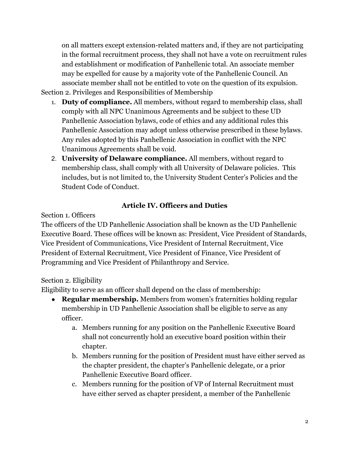on all matters except extension-related matters and, if they are not participating in the formal recruitment process, they shall not have a vote on recruitment rules and establishment or modification of Panhellenic total. An associate member may be expelled for cause by a majority vote of the Panhellenic Council. An associate member shall not be entitled to vote on the question of its expulsion. Section 2. Privileges and Responsibilities of Membership

- 1. **Duty of compliance.** All members, without regard to membership class, shall comply with all NPC Unanimous Agreements and be subject to these UD Panhellenic Association bylaws, code of ethics and any additional rules this Panhellenic Association may adopt unless otherwise prescribed in these bylaws. Any rules adopted by this Panhellenic Association in conflict with the NPC Unanimous Agreements shall be void.
- 2. **University of Delaware compliance.** All members, without regard to membership class, shall comply with all University of Delaware policies. This includes, but is not limited to, the University Student Center's Policies and the Student Code of Conduct.

# **Article IV. Officers and Duties**

Section 1. Officers

The officers of the UD Panhellenic Association shall be known as the UD Panhellenic Executive Board. These offices will be known as: President, Vice President of Standards, Vice President of Communications, Vice President of Internal Recruitment, Vice President of External Recruitment, Vice President of Finance, Vice President of Programming and Vice President of Philanthropy and Service.

# Section 2. Eligibility

Eligibility to serve as an officer shall depend on the class of membership:

- **Regular membership.** Members from women's fraternities holding regular membership in UD Panhellenic Association shall be eligible to serve as any officer.
	- a. Members running for any position on the Panhellenic Executive Board shall not concurrently hold an executive board position within their chapter.
	- b. Members running for the position of President must have either served as the chapter president, the chapter's Panhellenic delegate, or a prior Panhellenic Executive Board officer.
	- c. Members running for the position of VP of Internal Recruitment must have either served as chapter president, a member of the Panhellenic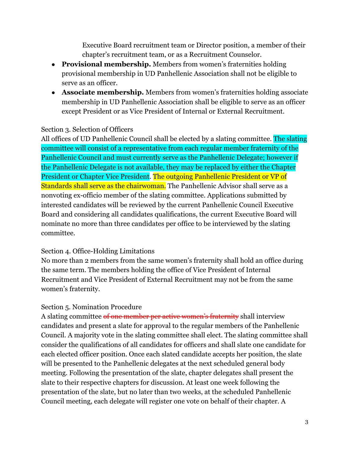Executive Board recruitment team or Director position, a member of their chapter's recruitment team, or as a Recruitment Counselor.

- **Provisional membership.** Members from women's fraternities holding provisional membership in UD Panhellenic Association shall not be eligible to serve as an officer.
- **Associate membership.** Members from women's fraternities holding associate membership in UD Panhellenic Association shall be eligible to serve as an officer except President or as Vice President of Internal or External Recruitment.

### Section 3. Selection of Officers

All offices of UD Panhellenic Council shall be elected by a slating committee. The slating committee will consist of a representative from each regular member fraternity of the Panhellenic Council and must currently serve as the Panhellenic Delegate; however if the Panhellenic Delegate is not available, they may be replaced by either the Chapter President or Chapter Vice President. The outgoing Panhellenic President or VP of Standards shall serve as the chairwoman. The Panhellenic Advisor shall serve as a nonvoting ex-officio member of the slating committee. Applications submitted by interested candidates will be reviewed by the current Panhellenic Council Executive Board and considering all candidates qualifications, the current Executive Board will nominate no more than three candidates per office to be interviewed by the slating committee.

### Section 4. Office-Holding Limitations

No more than 2 members from the same women's fraternity shall hold an office during the same term. The members holding the office of Vice President of Internal Recruitment and Vice President of External Recruitment may not be from the same women's fraternity.

### Section 5. Nomination Procedure

A slating committee of one member per active women's fraternity shall interview candidates and present a slate for approval to the regular members of the Panhellenic Council. A majority vote in the slating committee shall elect. The slating committee shall consider the qualifications of all candidates for officers and shall slate one candidate for each elected officer position. Once each slated candidate accepts her position, the slate will be presented to the Panhellenic delegates at the next scheduled general body meeting. Following the presentation of the slate, chapter delegates shall present the slate to their respective chapters for discussion. At least one week following the presentation of the slate, but no later than two weeks, at the scheduled Panhellenic Council meeting, each delegate will register one vote on behalf of their chapter. A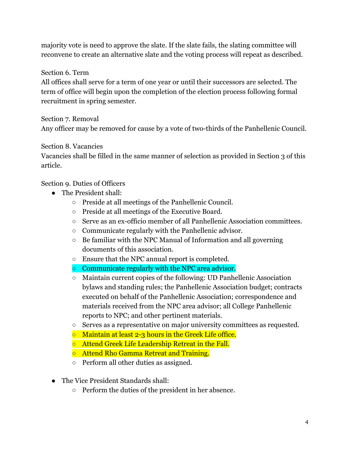majority vote is need to approve the slate. If the slate fails, the slating committee will reconvene to create an alternative slate and the voting process will repeat as described.

Section 6. Term

All offices shall serve for a term of one year or until their successors are selected. The term of office will begin upon the completion of the election process following formal recruitment in spring semester.

Section 7. Removal

Any officer may be removed for cause by a vote of two-thirds of the Panhellenic Council.

### Section 8. Vacancies

Vacancies shall be filled in the same manner of selection as provided in Section 3 of this article.

### Section 9. Duties of Officers

- The President shall:
	- Preside at all meetings of the Panhellenic Council.
	- Preside at all meetings of the Executive Board*.*
	- Serve as an ex-officio member of all Panhellenic Association committees.
	- Communicate regularly with the Panhellenic advisor.
	- $\circ$  Be familiar with the NPC Manual of Information and all governing documents of this association.
	- Ensure that the NPC annual report is completed.
	- Communicate regularly with the NPC area advisor.
	- Maintain current copies of the following: UD Panhellenic Association bylaws and standing rules; the Panhellenic Association budget; contracts executed on behalf of the Panhellenic Association; correspondence and materials received from the NPC area advisor; all College Panhellenic reports to NPC; and other pertinent materials.
	- Serves as a representative on major university committees as requested.
	- Maintain at least 2-3 hours in the Greek Life office.
	- Attend Greek Life Leadership Retreat in the Fall.
	- Attend Rho Gamma Retreat and Training.
	- Perform all other duties as assigned.
- The Vice President Standards shall:
	- Perform the duties of the president in her absence.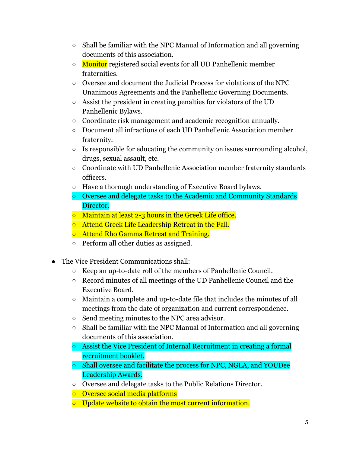- Shall be familiar with the NPC Manual of Information and all governing documents of this association.
- Monitor registered social events for all UD Panhellenic member fraternities.
- Oversee and document the Judicial Process for violations of the NPC Unanimous Agreements and the Panhellenic Governing Documents.
- Assist the president in creating penalties for violators of the UD Panhellenic Bylaws.
- Coordinate risk management and academic recognition annually.
- Document all infractions of each UD Panhellenic Association member fraternity.
- $\circ$  Is responsible for educating the community on issues surrounding alcohol, drugs, sexual assault, etc.
- Coordinate with UD Panhellenic Association member fraternity standards officers.
- Have a thorough understanding of Executive Board bylaws.
- Oversee and delegate tasks to the Academic and Community Standards Director.
- Maintain at least 2-3 hours in the Greek Life office.
- Attend Greek Life Leadership Retreat in the Fall.
- Attend Rho Gamma Retreat and Training.
- Perform all other duties as assigned.
- The Vice President Communications shall:
	- Keep an up-to-date roll of the members of Panhellenic Council.
	- Record minutes of all meetings of the UD Panhellenic Council and the Executive Board.
	- Maintain a complete and up-to-date file that includes the minutes of all meetings from the date of organization and current correspondence.
	- Send meeting minutes to the NPC area advisor.
	- Shall be familiar with the NPC Manual of Information and all governing documents of this association.
	- Assist the Vice President of Internal Recruitment in creating a formal recruitment booklet.
	- Shall oversee and facilitate the process for NPC, NGLA, and YOUDee Leadership Awards.
	- Oversee and delegate tasks to the Public Relations Director.
	- Oversee social media platforms
	- Update website to obtain the most current information.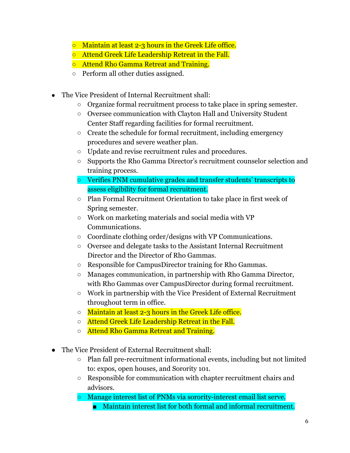- Maintain at least 2-3 hours in the Greek Life office.
- Attend Greek Life Leadership Retreat in the Fall.
- Attend Rho Gamma Retreat and Training.
- Perform all other duties assigned.
- The Vice President of Internal Recruitment shall:
	- Organize formal recruitment process to take place in spring semester.
	- Oversee communication with Clayton Hall and University Student Center Staff regarding facilities for formal recruitment.
	- Create the schedule for formal recruitment, including emergency procedures and severe weather plan.
	- Update and revise recruitment rules and procedures.
	- Supports the Rho Gamma Director's recruitment counselor selection and training process.
	- Verifies PNM cumulative grades and transfer students' transcripts to assess eligibility for formal recruitment.
	- Plan Formal Recruitment Orientation to take place in first week of Spring semester.
	- Work on marketing materials and social media with VP Communications.
	- Coordinate clothing order/designs with VP Communications.
	- Oversee and delegate tasks to the Assistant Internal Recruitment Director and the Director of Rho Gammas.
	- Responsible for CampusDirector training for Rho Gammas.
	- Manages communication, in partnership with Rho Gamma Director, with Rho Gammas over CampusDirector during formal recruitment.
	- Work in partnership with the Vice President of External Recruitment throughout term in office.
	- Maintain at least 2-3 hours in the Greek Life office.
	- Attend Greek Life Leadership Retreat in the Fall.
	- Attend Rho Gamma Retreat and Training.
- The Vice President of External Recruitment shall:
	- Plan fall pre-recruitment informational events, including but not limited to: expos, open houses, and Sorority 101.
	- Responsible for communication with chapter recruitment chairs and advisors.
	- Manage interest list of PNMs via sorority-interest email list serve.
		- Maintain interest list for both formal and informal recruitment.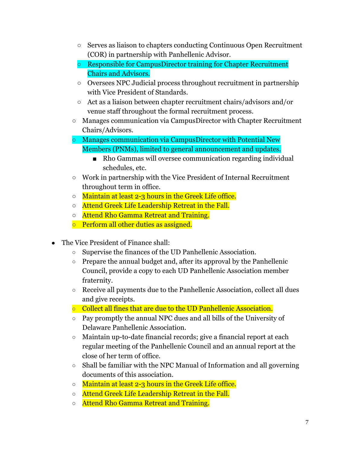- Serves as liaison to chapters conducting Continuous Open Recruitment (COR) in partnership with Panhellenic Advisor.
- Responsible for CampusDirector training for Chapter Recruitment Chairs and Advisors.
- Oversees NPC Judicial process throughout recruitment in partnership with Vice President of Standards.
- Act as a liaison between chapter recruitment chairs/advisors and/or venue staff throughout the formal recruitment process.
- Manages communication via CampusDirector with Chapter Recruitment Chairs/Advisors.
- Manages communication via CampusDirector with Potential New Members (PNMs), limited to general announcement and updates.
	- Rho Gammas will oversee communication regarding individual schedules, etc.
- Work in partnership with the Vice President of Internal Recruitment throughout term in office.
- o Maintain at least 2-3 hours in the Greek Life office.
- o Attend Greek Life Leadership Retreat in the Fall.
- Attend Rho Gamma Retreat and Training.
- o Perform all other duties as assigned.
- The Vice President of Finance shall:
	- Supervise the finances of the UD Panhellenic Association.
	- Prepare the annual budget and, after its approval by the Panhellenic Council, provide a copy to each UD Panhellenic Association member fraternity.
	- Receive all payments due to the Panhellenic Association, collect all dues and give receipts.
	- Collect all fines that are due to the UD Panhellenic Association.
	- Pay promptly the annual NPC dues and all bills of the University of Delaware Panhellenic Association.
	- Maintain up-to-date financial records; give a financial report at each regular meeting of the Panhellenic Council and an annual report at the close of her term of office.
	- Shall be familiar with the NPC Manual of Information and all governing documents of this association.
	- o Maintain at least 2-3 hours in the Greek Life office.
	- o Attend Greek Life Leadership Retreat in the Fall.
	- Attend Rho Gamma Retreat and Training.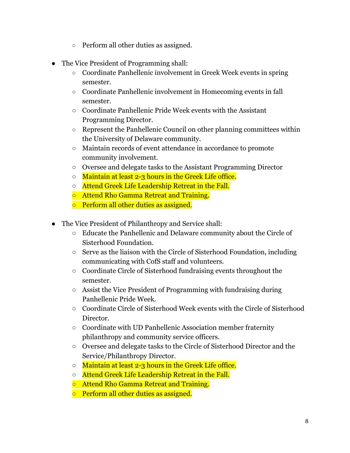- Perform all other duties as assigned.
- The Vice President of Programming shall:
	- Coordinate Panhellenic involvement in Greek Week events in spring semester.
	- Coordinate Panhellenic involvement in Homecoming events in fall semester.
	- Coordinate Panhellenic Pride Week events with the Assistant Programming Director.
	- Represent the Panhellenic Council on other planning committees within the University of Delaware community.
	- Maintain records of event attendance in accordance to promote community involvement.
	- Oversee and delegate tasks to the Assistant Programming Director
	- o Maintain at least 2-3 hours in the Greek Life office.
	- Attend Greek Life Leadership Retreat in the Fall.
	- Attend Rho Gamma Retreat and Training.
	- Perform all other duties as assigned.
- The Vice President of Philanthropy and Service shall:
	- Educate the Panhellenic and Delaware community about the Circle of Sisterhood Foundation.
	- Serve as the liaison with the Circle of Sisterhood Foundation, including communicating with CofS staff and volunteers.
	- Coordinate Circle of Sisterhood fundraising events throughout the semester.
	- Assist the Vice President of Programming with fundraising during Panhellenic Pride Week.
	- Coordinate Circle of Sisterhood Week events with the Circle of Sisterhood Director.
	- Coordinate with UD Panhellenic Association member fraternity philanthropy and community service officers.
	- Oversee and delegate tasks to the Circle of Sisterhood Director and the Service/Philanthropy Director.
	- o Maintain at least 2-3 hours in the Greek Life office.
	- Attend Greek Life Leadership Retreat in the Fall.
	- Attend Rho Gamma Retreat and Training.
	- o Perform all other duties as assigned.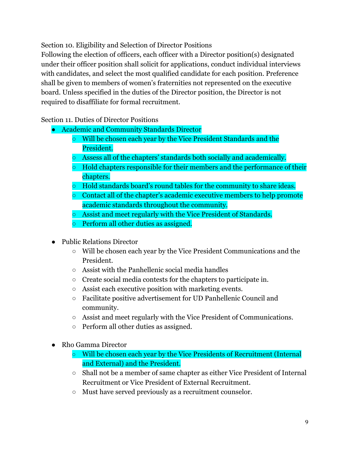Section 10. Eligibility and Selection of Director Positions

Following the election of officers, each officer with a Director position(s) designated under their officer position shall solicit for applications, conduct individual interviews with candidates, and select the most qualified candidate for each position. Preference shall be given to members of women's fraternities not represented on the executive board. Unless specified in the duties of the Director position, the Director is not required to disaffiliate for formal recruitment.

### Section 11. Duties of Director Positions

- Academic and Community Standards Director
	- Will be chosen each year by the Vice President Standards and the President.
	- Assess all of the chapters' standards both socially and academically.
	- Hold chapters responsible for their members and the performance of their chapters.
	- Hold standards board's round tables for the community to share ideas.
	- Contact all of the chapter's academic executive members to help promote academic standards throughout the community.
	- Assist and meet regularly with the Vice President of Standards.
	- Perform all other duties as assigned.
- Public Relations Director
	- Will be chosen each year by the Vice President Communications and the President.
	- Assist with the Panhellenic social media handles
	- Create social media contests for the chapters to participate in.
	- Assist each executive position with marketing events.
	- Facilitate positive advertisement for UD Panhellenic Council and community.
	- Assist and meet regularly with the Vice President of Communications.
	- Perform all other duties as assigned.
- Rho Gamma Director
	- Will be chosen each year by the Vice Presidents of Recruitment (Internal and External) and the President.
	- Shall not be a member of same chapter as either Vice President of Internal Recruitment or Vice President of External Recruitment.
	- Must have served previously as a recruitment counselor.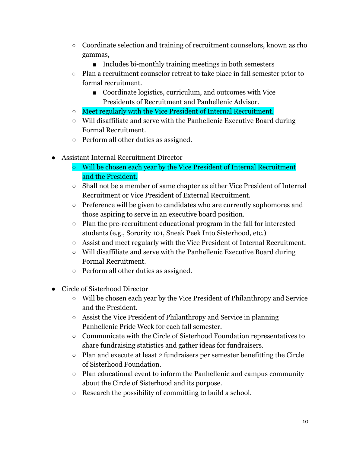- Coordinate selection and training of recruitment counselors, known as rho gammas,
	- Includes bi-monthly training meetings in both semesters
- Plan a recruitment counselor retreat to take place in fall semester prior to formal recruitment.
	- Coordinate logistics, curriculum, and outcomes with Vice Presidents of Recruitment and Panhellenic Advisor.
- Meet regularly with the Vice President of Internal Recruitment.
- Will disaffiliate and serve with the Panhellenic Executive Board during Formal Recruitment.
- Perform all other duties as assigned.
- Assistant Internal Recruitment Director
	- Will be chosen each year by the Vice President of Internal Recruitment and the President.
	- Shall not be a member of same chapter as either Vice President of Internal Recruitment or Vice President of External Recruitment.
	- Preference will be given to candidates who are currently sophomores and those aspiring to serve in an executive board position.
	- Plan the pre-recruitment educational program in the fall for interested students (e.g., Sorority 101, Sneak Peek Into Sisterhood, etc.)
	- Assist and meet regularly with the Vice President of Internal Recruitment.
	- Will disaffiliate and serve with the Panhellenic Executive Board during Formal Recruitment.
	- Perform all other duties as assigned.
- Circle of Sisterhood Director
	- Will be chosen each year by the Vice President of Philanthropy and Service and the President.
	- Assist the Vice President of Philanthropy and Service in planning Panhellenic Pride Week for each fall semester.
	- Communicate with the Circle of Sisterhood Foundation representatives to share fundraising statistics and gather ideas for fundraisers.
	- Plan and execute at least 2 fundraisers per semester benefitting the Circle of Sisterhood Foundation.
	- Plan educational event to inform the Panhellenic and campus community about the Circle of Sisterhood and its purpose.
	- Research the possibility of committing to build a school.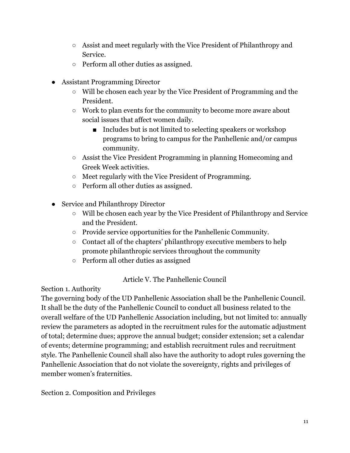- Assist and meet regularly with the Vice President of Philanthropy and Service.
- Perform all other duties as assigned.
- Assistant Programming Director
	- Will be chosen each year by the Vice President of Programming and the President.
	- Work to plan events for the community to become more aware about social issues that affect women daily.
		- Includes but is not limited to selecting speakers or workshop programs to bring to campus for the Panhellenic and/or campus community.
	- Assist the Vice President Programming in planning Homecoming and Greek Week activities.
	- Meet regularly with the Vice President of Programming.
	- Perform all other duties as assigned.
- Service and Philanthropy Director
	- Will be chosen each year by the Vice President of Philanthropy and Service and the President.
	- Provide service opportunities for the Panhellenic Community.
	- Contact all of the chapters' philanthropy executive members to help promote philanthropic services throughout the community
	- Perform all other duties as assigned

### Article V. The Panhellenic Council

Section 1. Authority

The governing body of the UD Panhellenic Association shall be the Panhellenic Council. It shall be the duty of the Panhellenic Council to conduct all business related to the overall welfare of the UD Panhellenic Association including, but not limited to: annually review the parameters as adopted in the recruitment rules for the automatic adjustment of total; determine dues; approve the annual budget; consider extension; set a calendar of events; determine programming; and establish recruitment rules and recruitment style. The Panhellenic Council shall also have the authority to adopt rules governing the Panhellenic Association that do not violate the sovereignty, rights and privileges of member women's fraternities.

Section 2. Composition and Privileges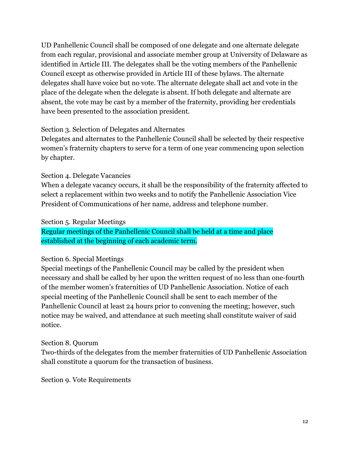UD Panhellenic Council shall be composed of one delegate and one alternate delegate from each regular, provisional and associate member group at University of Delaware as identified in Article III. The delegates shall be the voting members of the Panhellenic Council except as otherwise provided in Article III of these bylaws. The alternate delegates shall have voice but no vote. The alternate delegate shall act and vote in the place of the delegate when the delegate is absent. If both delegate and alternate are absent, the vote may be cast by a member of the fraternity, providing her credentials have been presented to the association president.

#### Section 3. Selection of Delegates and Alternates

Delegates and alternates to the Panhellenic Council shall be selected by their respective women's fraternity chapters to serve for a term of one year commencing upon selection by chapter.

### Section 4. Delegate Vacancies

When a delegate vacancy occurs, it shall be the responsibility of the fraternity affected to select a replacement within two weeks and to notify the Panhellenic Association Vice President of Communications of her name, address and telephone number.

#### Section 5. Regular Meetings

Regular meetings of the Panhellenic Council shall be held at a time and place established at the beginning of each academic term.

### Section 6. Special Meetings

Special meetings of the Panhellenic Council may be called by the president when necessary and shall be called by her upon the written request of no less than one-fourth of the member women's fraternities of UD Panhellenic Association. Notice of each special meeting of the Panhellenic Council shall be sent to each member of the Panhellenic Council at least 24 hours prior to convening the meeting; however, such notice may be waived, and attendance at such meeting shall constitute waiver of said notice.

### Section 8. Quorum

Two-thirds of the delegates from the member fraternities of UD Panhellenic Association shall constitute a quorum for the transaction of business.

Section 9. Vote Requirements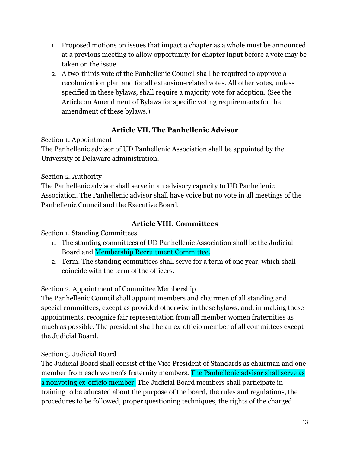- 1. Proposed motions on issues that impact a chapter as a whole must be announced at a previous meeting to allow opportunity for chapter input before a vote may be taken on the issue.
- 2. A two-thirds vote of the Panhellenic Council shall be required to approve a recolonization plan and for all extension-related votes. All other votes, unless specified in these bylaws, shall require a majority vote for adoption. (See the Article on Amendment of Bylaws for specific voting requirements for the amendment of these bylaws.)

# **Article VII. The Panhellenic Advisor**

Section 1. Appointment

The Panhellenic advisor of UD Panhellenic Association shall be appointed by the University of Delaware administration.

Section 2. Authority

The Panhellenic advisor shall serve in an advisory capacity to UD Panhellenic Association. The Panhellenic advisor shall have voice but no vote in all meetings of the Panhellenic Council and the Executive Board.

# **Article VIII. Committees**

Section 1. Standing Committees

- 1. The standing committees of UD Panhellenic Association shall be the Judicial Board and Membership Recruitment Committee.
- 2. Term. The standing committees shall serve for a term of one year, which shall coincide with the term of the officers.

# Section 2. Appointment of Committee Membership

The Panhellenic Council shall appoint members and chairmen of all standing and special committees, except as provided otherwise in these bylaws, and, in making these appointments, recognize fair representation from all member women fraternities as much as possible. The president shall be an ex-officio member of all committees except the Judicial Board.

# Section 3. Judicial Board

The Judicial Board shall consist of the Vice President of Standards as chairman and one member from each women's fraternity members. The Panhellenic advisor shall serve as a nonvoting ex-officio member. The Judicial Board members shall participate in training to be educated about the purpose of the board, the rules and regulations, the procedures to be followed, proper questioning techniques, the rights of the charged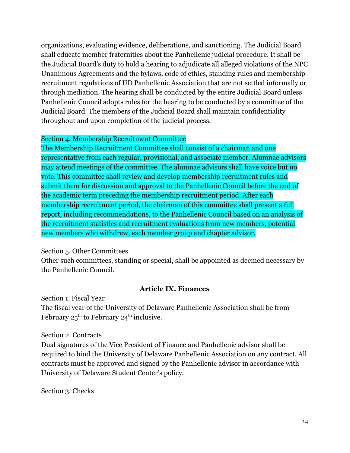organizations, evaluating evidence, deliberations, and sanctioning. The Judicial Board shall educate member fraternities about the Panhellenic judicial procedure. It shall be the Judicial Board's duty to hold a hearing to adjudicate all alleged violations of the NPC Unanimous Agreements and the bylaws, code of ethics, standing rules and membership recruitment regulations of UD Panhellenic Association that are not settled informally or through mediation. The hearing shall be conducted by the entire Judicial Board unless Panhellenic Council adopts rules for the hearing to be conducted by a committee of the Judicial Board. The members of the Judicial Board shall maintain confidentiality throughout and upon completion of the judicial process.

#### Section 4. Membership Recruitment Committee

The Membership Recruitment Committee shall consist of a chairman and one representative from each regular, provisional, and associate member. Alumnae advisors may attend meetings of the committee. The alumnae advisors shall have voice but no vote. This committee shall review and develop membership recruitment rules and submit them for discussion and approval to the Panhellenic Council before the end of the academic term preceding the membership recruitment period. After each membership recruitment period, the chairman of this committee shall present a full report, including recommendations, to the Panhellenic Council based on an analysis of the recruitment statistics and recruitment evaluations from new members, potential new members who withdrew, each member group and chapter advisor.

### Section 5. Other Committees

Other such committees, standing or special, shall be appointed as deemed necessary by the Panhellenic Council.

### **Article IX. Finances**

Section 1. Fiscal Year The fiscal year of the University of Delaware Panhellenic Association shall be from February  $25<sup>th</sup>$  to February  $24<sup>th</sup>$  inclusive.

#### Section 2. Contracts

Dual signatures of the Vice President of Finance and Panhellenic advisor shall be required to bind the University of Delaware Panhellenic Association on any contract. All contracts must be approved and signed by the Panhellenic advisor in accordance with University of Delaware Student Center's policy.

Section 3. Checks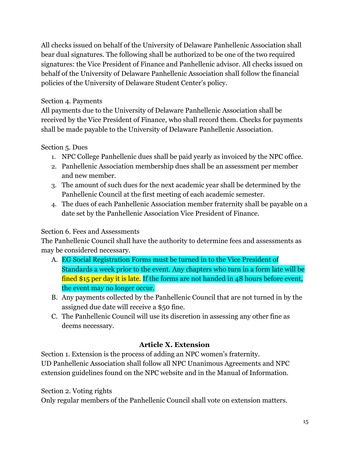All checks issued on behalf of the University of Delaware Panhellenic Association shall bear dual signatures. The following shall be authorized to be one of the two required signatures: the Vice President of Finance and Panhellenic advisor. All checks issued on behalf of the University of Delaware Panhellenic Association shall follow the financial policies of the University of Delaware Student Center's policy.

### Section 4. Payments

All payments due to the University of Delaware Panhellenic Association shall be received by the Vice President of Finance, who shall record them. Checks for payments shall be made payable to the University of Delaware Panhellenic Association.

# Section 5. Dues

- 1. NPC College Panhellenic dues shall be paid yearly as invoiced by the NPC office.
- 2. Panhellenic Association membership dues shall be an assessment per member and new member.
- 3. The amount of such dues for the next academic year shall be determined by the Panhellenic Council at the first meeting of each academic semester.
- 4. The dues of each Panhellenic Association member fraternity shall be payable on a date set by the Panhellenic Association Vice President of Finance.

# Section 6. Fees and Assessments

The Panhellenic Council shall have the authority to determine fees and assessments as may be considered necessary.

- A. EG Social Registration Forms must be turned in to the Vice President of Standards a week prior to the event. Any chapters who turn in a form late will be fined \$15 per day it is late. If the forms are not handed in 48 hours before event, the event may no longer occur.
- B. Any payments collected by the Panhellenic Council that are not turned in by the assigned due date will receive a \$50 fine.
- C. The Panhellenic Council will use its discretion in assessing any other fine as deems necessary.

# **Article X. Extension**

Section 1. Extension is the process of adding an NPC women's fraternity. UD Panhellenic Association shall follow all NPC Unanimous Agreements and NPC extension guidelines found on the NPC website and in the Manual of Information.

Section 2. Voting rights

Only regular members of the Panhellenic Council shall vote on extension matters.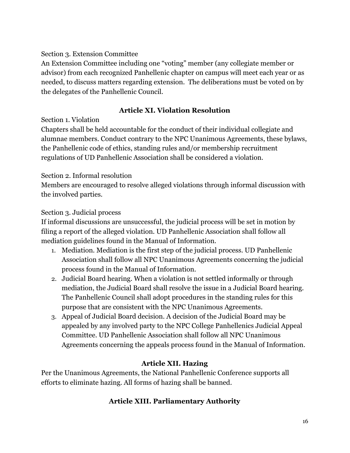#### Section 3. Extension Committee

An Extension Committee including one "voting" member (any collegiate member or advisor) from each recognized Panhellenic chapter on campus will meet each year or as needed, to discuss matters regarding extension. The deliberations must be voted on by the delegates of the Panhellenic Council.

### **Article XI. Violation Resolution**

### Section 1. Violation

Chapters shall be held accountable for the conduct of their individual collegiate and alumnae members. Conduct contrary to the NPC Unanimous Agreements, these bylaws, the Panhellenic code of ethics, standing rules and/or membership recruitment regulations of UD Panhellenic Association shall be considered a violation.

### Section 2. Informal resolution

Members are encouraged to resolve alleged violations through informal discussion with the involved parties.

### Section 3. Judicial process

If informal discussions are unsuccessful, the judicial process will be set in motion by filing a report of the alleged violation. UD Panhellenic Association shall follow all mediation guidelines found in the Manual of Information.

- 1. Mediation. Mediation is the first step of the judicial process. UD Panhellenic Association shall follow all NPC Unanimous Agreements concerning the judicial process found in the Manual of Information.
- 2. Judicial Board hearing. When a violation is not settled informally or through mediation, the Judicial Board shall resolve the issue in a Judicial Board hearing. The Panhellenic Council shall adopt procedures in the standing rules for this purpose that are consistent with the NPC Unanimous Agreements.
- 3. Appeal of Judicial Board decision. A decision of the Judicial Board may be appealed by any involved party to the NPC College Panhellenics Judicial Appeal Committee. UD Panhellenic Association shall follow all NPC Unanimous Agreements concerning the appeals process found in the Manual of Information.

### **Article XII. Hazing**

Per the Unanimous Agreements, the National Panhellenic Conference supports all efforts to eliminate hazing. All forms of hazing shall be banned.

# **Article XIII. Parliamentary Authority**